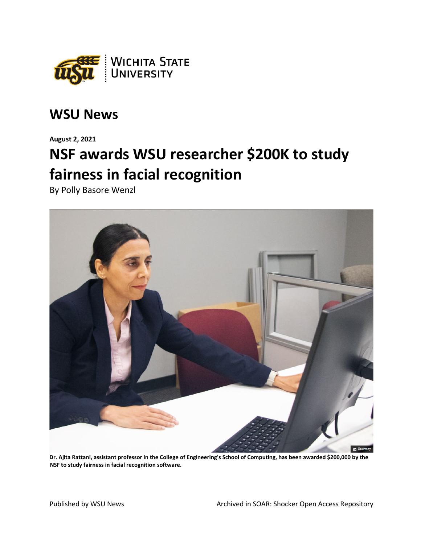

## **WSU News**

**August 2, 2021**

## **NSF awards WSU researcher \$200K to study fairness in facial recognition**

By Polly Basore Wenzl



**Dr. Ajita Rattani, assistant professor in the College of Engineering's School of Computing, has been awarded \$200,000 by the NSF to study fairness in facial recognition software.**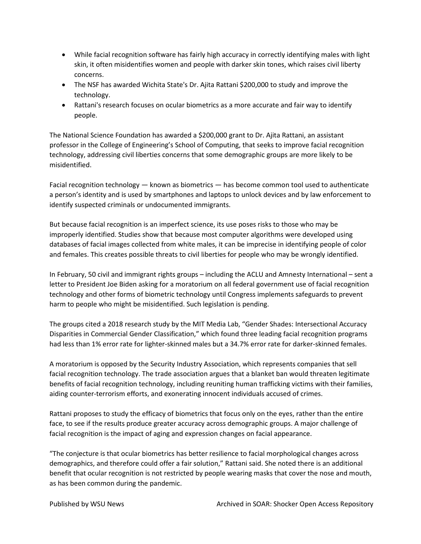- While facial recognition software has fairly high accuracy in correctly identifying males with light skin, it often misidentifies women and people with darker skin tones, which raises civil liberty concerns.
- The NSF has awarded Wichita State's Dr. Ajita Rattani \$200,000 to study and improve the technology.
- Rattani's research focuses on ocular biometrics as a more accurate and fair way to identify people.

The National Science Foundation has awarded a \$200,000 grant to Dr. Ajita Rattani, an assistant professor in the College of Engineering's School of Computing, that seeks to improve facial recognition technology, addressing civil liberties concerns that some demographic groups are more likely to be misidentified.

Facial recognition technology — known as biometrics — has become common tool used to authenticate a person's identity and is used by smartphones and laptops to unlock devices and by law enforcement to identify suspected criminals or undocumented immigrants.

But because facial recognition is an imperfect science, its use poses risks to those who may be improperly identified. Studies show that because most computer algorithms were developed using databases of facial images collected from white males, it can be imprecise in identifying people of color and females. This creates possible threats to civil liberties for people who may be wrongly identified.

In February, 50 civil and immigrant rights groups – including the ACLU and Amnesty International – sent a letter to President Joe Biden asking for a moratorium on all federal government use of facial recognition technology and other forms of biometric technology until Congress implements safeguards to prevent harm to people who might be misidentified. Such legislation is pending.

The groups cited a 2018 research study by the MIT Media Lab, "Gender Shades: Intersectional Accuracy Disparities in Commercial Gender Classification," which found three leading facial recognition programs had less than 1% error rate for lighter-skinned males but a 34.7% error rate for darker-skinned females.

A moratorium is opposed by the Security Industry Association, which represents companies that sell facial recognition technology. The trade association argues that a blanket ban would threaten legitimate benefits of facial recognition technology, including reuniting human trafficking victims with their families, aiding counter-terrorism efforts, and exonerating innocent individuals accused of crimes.

Rattani proposes to study the efficacy of biometrics that focus only on the eyes, rather than the entire face, to see if the results produce greater accuracy across demographic groups. A major challenge of facial recognition is the impact of aging and expression changes on facial appearance.

"The conjecture is that ocular biometrics has better resilience to facial morphological changes across demographics, and therefore could offer a fair solution," Rattani said. She noted there is an additional benefit that ocular recognition is not restricted by people wearing masks that cover the nose and mouth, as has been common during the pandemic.